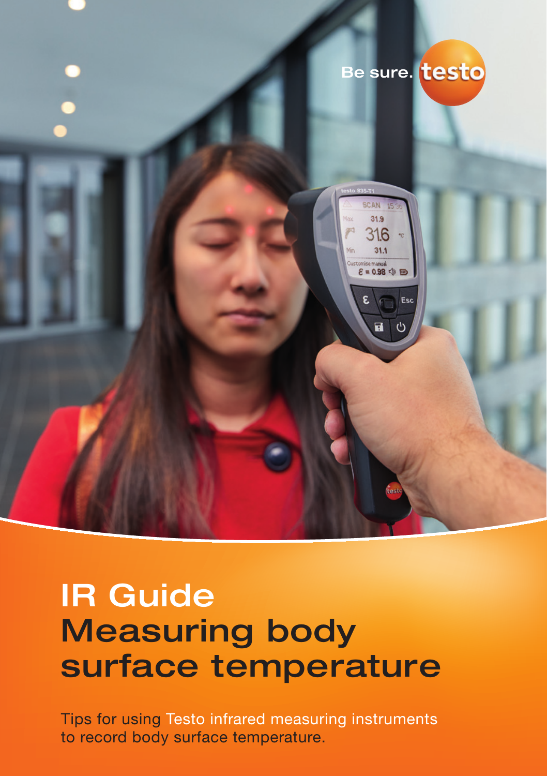

# IR Guide Measuring body surface temperature

Tips for using Testo infrared measuring instruments to record body surface temperature.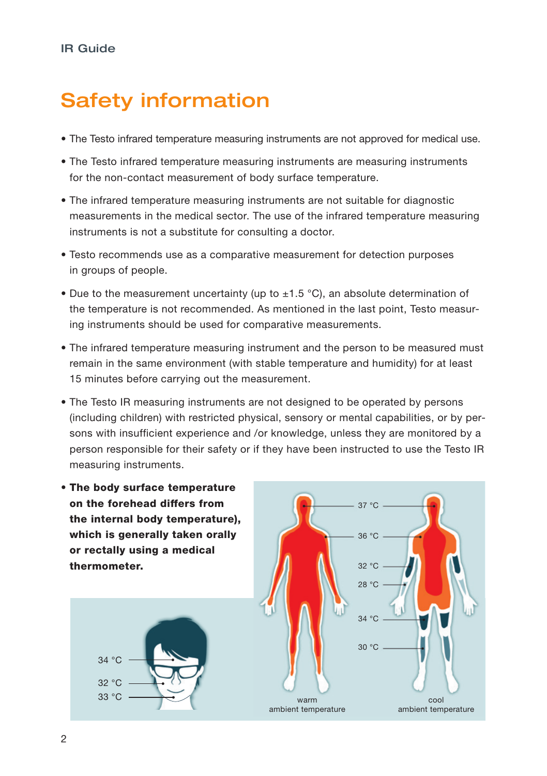## Safety information

- The Testo infrared temperature measuring instruments are not approved for medical use.
- The Testo infrared temperature measuring instruments are measuring instruments for the non-contact measurement of body surface temperature.
- The infrared temperature measuring instruments are not suitable for diagnostic measurements in the medical sector. The use of the infrared temperature measuring instruments is not a substitute for consulting a doctor.
- Testo recommends use as a comparative measurement for detection purposes in groups of people.
- Due to the measurement uncertainty (up to  $\pm 1.5$  °C), an absolute determination of the temperature is not recommended. As mentioned in the last point, Testo measuring instruments should be used for comparative measurements.
- The infrared temperature measuring instrument and the person to be measured must remain in the same environment (with stable temperature and humidity) for at least 15 minutes before carrying out the measurement.
- The Testo IR measuring instruments are not designed to be operated by persons (including children) with restricted physical, sensory or mental capabilities, or by persons with insufficient experience and /or knowledge, unless they are monitored by a person responsible for their safety or if they have been instructed to use the Testo IR measuring instruments.
- The body surface temperature on the forehead differs from the internal body temperature), which is generally taken orally or rectally using a medical thermometer.



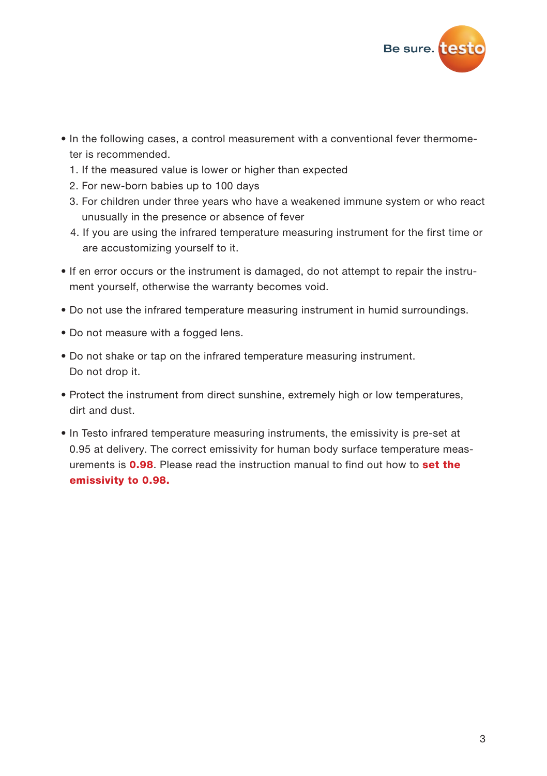

- In the following cases, a control measurement with a conventional fever thermometer is recommended.
	- 1. If the measured value is lower or higher than expected
	- 2. For new-born babies up to 100 days
	- 3. For children under three years who have a weakened immune system or who react unusually in the presence or absence of fever
	- 4. If you are using the infrared temperature measuring instrument for the first time or are accustomizing yourself to it.
- If en error occurs or the instrument is damaged, do not attempt to repair the instrument yourself, otherwise the warranty becomes void.
- Do not use the infrared temperature measuring instrument in humid surroundings.
- Do not measure with a fogged lens.
- Do not shake or tap on the infrared temperature measuring instrument. Do not drop it.
- Protect the instrument from direct sunshine, extremely high or low temperatures, dirt and dust.
- In Testo infrared temperature measuring instruments, the emissivity is pre-set at 0.95 at delivery. The correct emissivity for human body surface temperature measurements is 0.98. Please read the instruction manual to find out how to set the emissivity to 0.98.